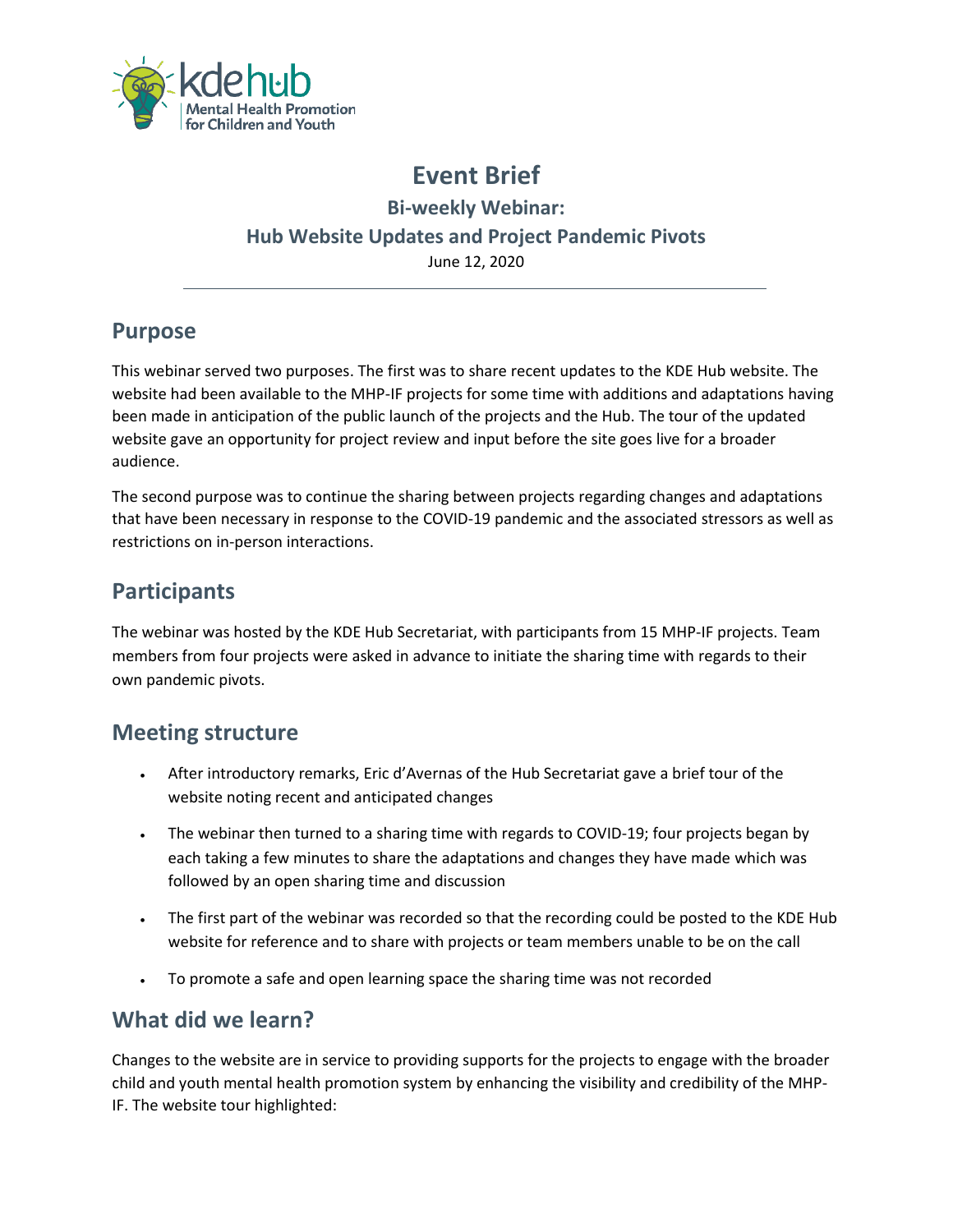

# **Event Brief Bi-weekly Webinar: Hub Website Updates and Project Pandemic Pivots** June 12, 2020

### **Purpose**

This webinar served two purposes. The first was to share recent updates to the KDE Hub website. The website had been available to the MHP-IF projects for some time with additions and adaptations having been made in anticipation of the public launch of the projects and the Hub. The tour of the updated website gave an opportunity for project review and input before the site goes live for a broader audience.

The second purpose was to continue the sharing between projects regarding changes and adaptations that have been necessary in response to the COVID-19 pandemic and the associated stressors as well as restrictions on in-person interactions.

### **Participants**

The webinar was hosted by the KDE Hub Secretariat, with participants from 15 MHP-IF projects. Team members from four projects were asked in advance to initiate the sharing time with regards to their own pandemic pivots.

#### **Meeting structure**

- After introductory remarks, Eric d'Avernas of the Hub Secretariat gave a brief tour of the website noting recent and anticipated changes
- The webinar then turned to a sharing time with regards to COVID-19; four projects began by each taking a few minutes to share the adaptations and changes they have made which was followed by an open sharing time and discussion
- The first part of the webinar was recorded so that the recording could be posted to the KDE Hub website for reference and to share with projects or team members unable to be on the call
- To promote a safe and open learning space the sharing time was not recorded

## **What did we learn?**

Changes to the website are in service to providing supports for the projects to engage with the broader child and youth mental health promotion system by enhancing the visibility and credibility of the MHP-IF. The website tour highlighted: